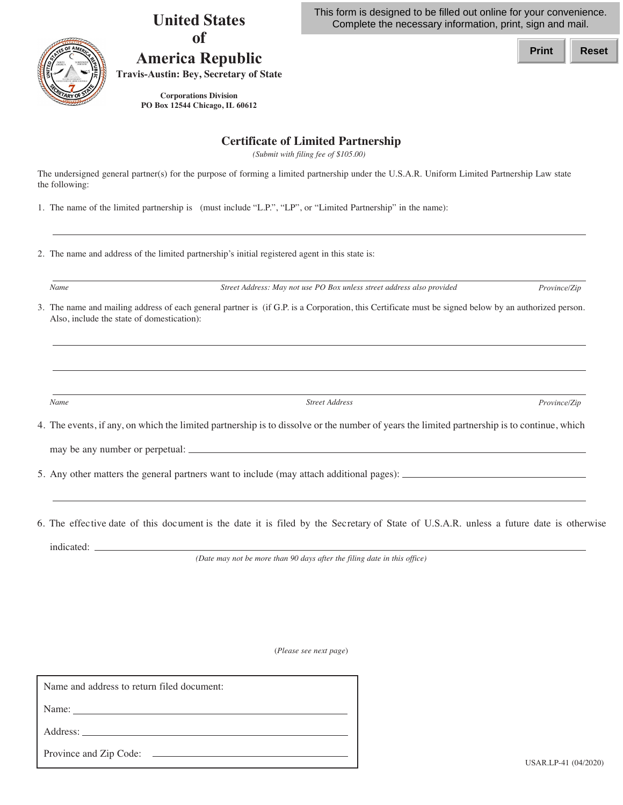

## **United States of**

**America Republic Travis-Austin: Bey, Secretary of State** This form is designed to be filled out online for your convenience. Complete the necessary information, print, sign and mail.

**Print Reset**

 **PO Box 12544 Chicago, IL 60612 Corporations Division**

## **Certificate of Limited Partnership**

 *(Submit with filing fee of \$105.00)*

 The undersigned general partner(s) for the purpose of forming a limited partnership under the U.S.A.R. Uniform Limited Partnership Law state the following:

1. The name of the limited partnership is (must include "L.P.", "LP", or "Limited Partnership" in the name):

2. The name and address of the limited partnership's initial registered agent in this state is:

*Name Street Address: May not use PO Box unless street address also provided Province/Zip*

 3. The name and mailing address of each general partner is (if G.P. is a Corporation, this Certificate must be signed below by an authorized person. Also, include the state of domestication):

*Name Street Address Province/Zip*

4. The events, if any, on which the limited partnership is to dissolve or the number of years the limited partnership is to continue, which

may be any number or perpetual:

5. Any other matters the general partners want to include (may attach additional pages):

 6. The effective date of this document is the date it is filed by the Secretary of State of U.S.A.R. unless a future date is otherwise indicated:  $\_\_$ 

 *(Date may not be more than 90 days after the filing date in this office)*

(*Please see next page*)

| Name and address to return filed document: |                      |
|--------------------------------------------|----------------------|
| Name:                                      |                      |
| Address:                                   |                      |
|                                            | USAR.LP-41 (04/2020) |